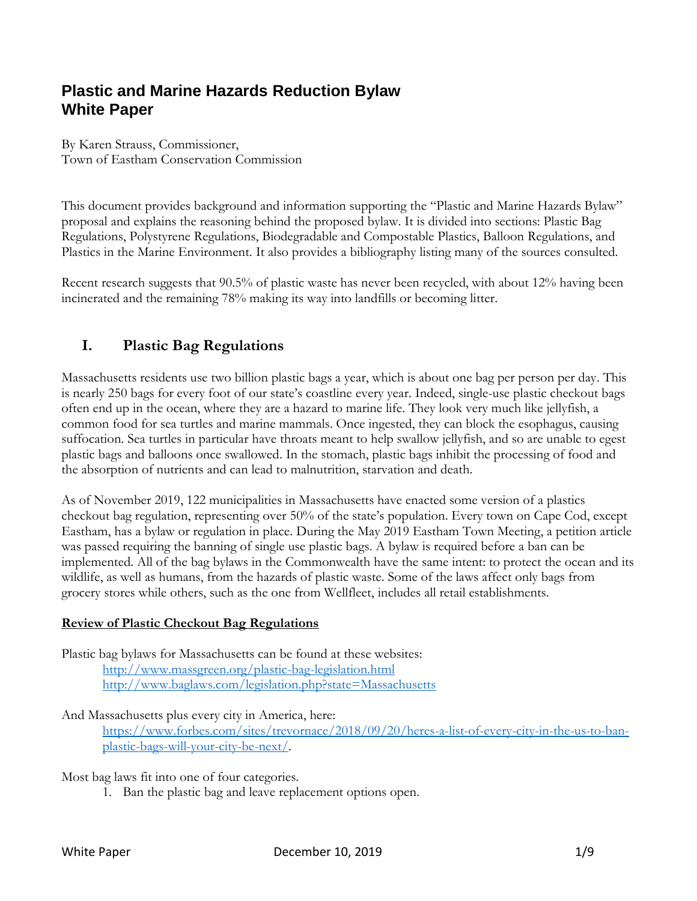# **Plastic and Marine Hazards Reduction Bylaw White Paper**

By Karen Strauss, Commissioner, Town of Eastham Conservation Commission

This document provides background and information supporting the "Plastic and Marine Hazards Bylaw" proposal and explains the reasoning behind the proposed bylaw. It is divided into sections: Plastic Bag Regulations, Polystyrene Regulations, Biodegradable and Compostable Plastics, Balloon Regulations, and Plastics in the Marine Environment. It also provides a bibliography listing many of the sources consulted.

Recent research suggests that 90.5% of plastic waste has never been recycled, with about 12% having been incinerated and the remaining 78% making its way into landfills or becoming litter.

## **I. Plastic Bag Regulations**

Massachusetts residents use two billion plastic bags a year, which is about one bag per person per day. This is nearly 250 bags for every foot of our state's coastline every year. Indeed, single-use plastic checkout bags often end up in the ocean, where they are a hazard to marine life. They look very much like jellyfish, a common food for sea turtles and marine mammals. Once ingested, they can block the esophagus, causing suffocation. Sea turtles in particular have throats meant to help swallow jellyfish, and so are unable to egest plastic bags and balloons once swallowed. In the stomach, plastic bags inhibit the processing of food and the absorption of nutrients and can lead to malnutrition, starvation and death.

As of November 2019, 122 municipalities in Massachusetts have enacted some version of a plastics checkout bag regulation, representing over 50% of the state's population. Every town on Cape Cod, except Eastham, has a bylaw or regulation in place. During the May 2019 Eastham Town Meeting, a petition article was passed requiring the banning of single use plastic bags. A bylaw is required before a ban can be implemented. All of the bag bylaws in the Commonwealth have the same intent: to protect the ocean and its wildlife, as well as humans, from the hazards of plastic waste. Some of the laws affect only bags from grocery stores while others, such as the one from Wellfleet, includes all retail establishments.

#### **Review of Plastic Checkout Bag Regulations**

Plastic bag bylaws for Massachusetts can be found at these websites: <http://www.massgreen.org/plastic-bag-legislation.html> <http://www.baglaws.com/legislation.php?state=Massachusetts>

#### And Massachusetts plus every city in America, here:

[https://www.forbes.com/sites/trevornace/2018/09/20/heres-a-list-of-every-city-in-the-us-to-ban](https://www.forbes.com/sites/trevornace/2018/09/20/heres-a-list-of-every-city-in-the-us-to-ban-plastic-bags-will-your-city-be-next/)[plastic-bags-will-your-city-be-next/.](https://www.forbes.com/sites/trevornace/2018/09/20/heres-a-list-of-every-city-in-the-us-to-ban-plastic-bags-will-your-city-be-next/)

Most bag laws fit into one of four categories.

1. Ban the plastic bag and leave replacement options open.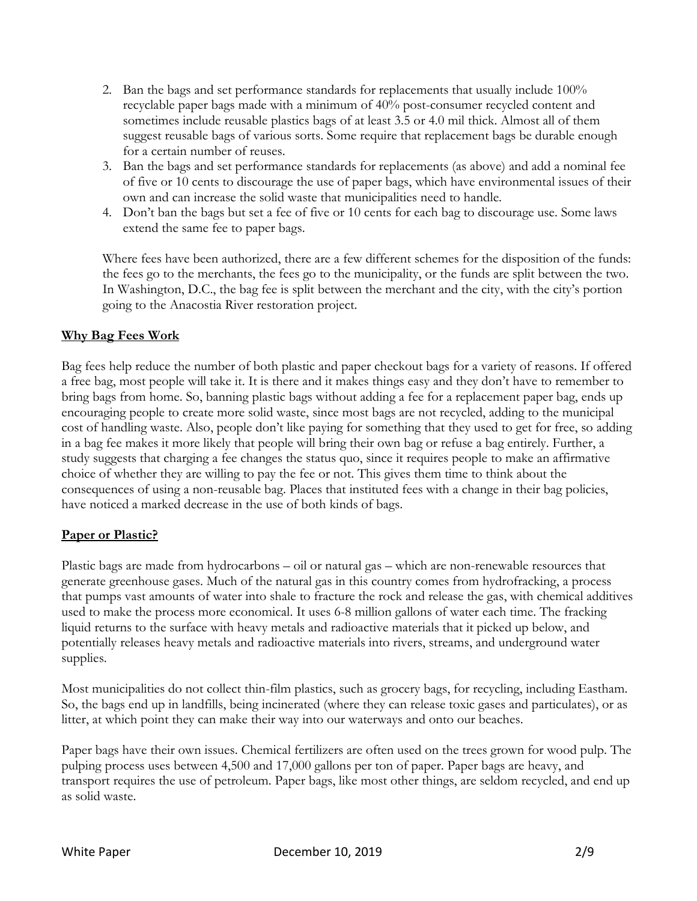- 2. Ban the bags and set performance standards for replacements that usually include 100% recyclable paper bags made with a minimum of 40% post-consumer recycled content and sometimes include reusable plastics bags of at least 3.5 or 4.0 mil thick. Almost all of them suggest reusable bags of various sorts. Some require that replacement bags be durable enough for a certain number of reuses.
- 3. Ban the bags and set performance standards for replacements (as above) and add a nominal fee of five or 10 cents to discourage the use of paper bags, which have environmental issues of their own and can increase the solid waste that municipalities need to handle.
- 4. Don't ban the bags but set a fee of five or 10 cents for each bag to discourage use. Some laws extend the same fee to paper bags.

Where fees have been authorized, there are a few different schemes for the disposition of the funds: the fees go to the merchants, the fees go to the municipality, or the funds are split between the two. In Washington, D.C., the bag fee is split between the merchant and the city, with the city's portion going to the Anacostia River restoration project.

### **Why Bag Fees Work**

Bag fees help reduce the number of both plastic and paper checkout bags for a variety of reasons. If offered a free bag, most people will take it. It is there and it makes things easy and they don't have to remember to bring bags from home. So, banning plastic bags without adding a fee for a replacement paper bag, ends up encouraging people to create more solid waste, since most bags are not recycled, adding to the municipal cost of handling waste. Also, people don't like paying for something that they used to get for free, so adding in a bag fee makes it more likely that people will bring their own bag or refuse a bag entirely. Further, a study suggests that charging a fee changes the status quo, since it requires people to make an affirmative choice of whether they are willing to pay the fee or not. This gives them time to think about the consequences of using a non-reusable bag. Places that instituted fees with a change in their bag policies, have noticed a marked decrease in the use of both kinds of bags.

#### **Paper or Plastic?**

Plastic bags are made from hydrocarbons – oil or natural gas – which are non-renewable resources that generate greenhouse gases. Much of the natural gas in this country comes from hydrofracking, a process that pumps vast amounts of water into shale to fracture the rock and release the gas, with chemical additives used to make the process more economical. It uses 6-8 million gallons of water each time. The fracking liquid returns to the surface with heavy metals and radioactive materials that it picked up below, and potentially releases heavy metals and radioactive materials into rivers, streams, and underground water supplies.

Most municipalities do not collect thin-film plastics, such as grocery bags, for recycling, including Eastham. So, the bags end up in landfills, being incinerated (where they can release toxic gases and particulates), or as litter, at which point they can make their way into our waterways and onto our beaches.

Paper bags have their own issues. Chemical fertilizers are often used on the trees grown for wood pulp. The pulping process uses between 4,500 and 17,000 gallons per ton of paper. Paper bags are heavy, and transport requires the use of petroleum. Paper bags, like most other things, are seldom recycled, and end up as solid waste.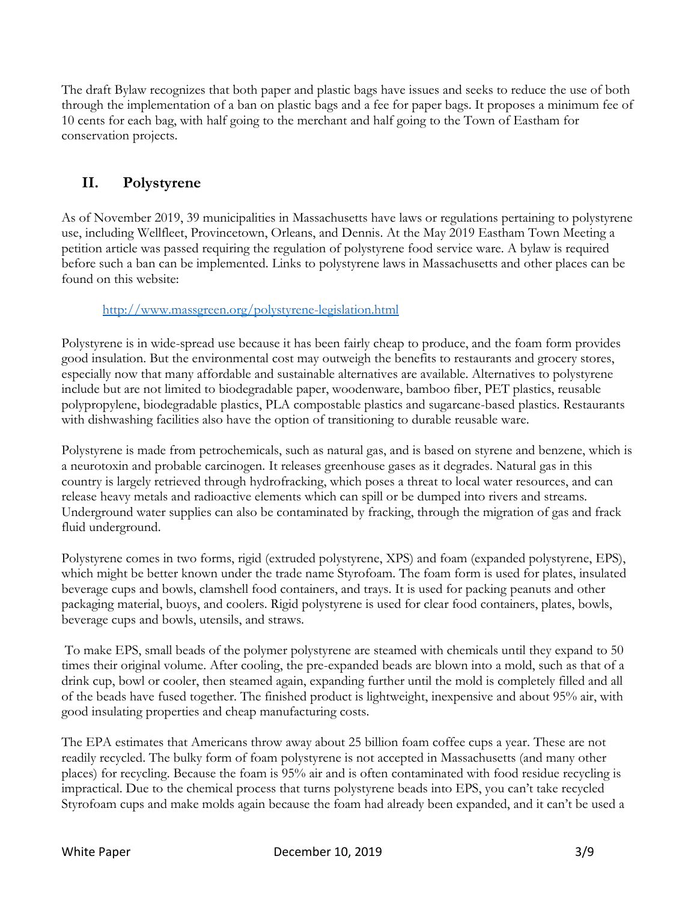The draft Bylaw recognizes that both paper and plastic bags have issues and seeks to reduce the use of both through the implementation of a ban on plastic bags and a fee for paper bags. It proposes a minimum fee of 10 cents for each bag, with half going to the merchant and half going to the Town of Eastham for conservation projects.

## **II. Polystyrene**

As of November 2019, 39 municipalities in Massachusetts have laws or regulations pertaining to polystyrene use, including Wellfleet, Provincetown, Orleans, and Dennis. At the May 2019 Eastham Town Meeting a petition article was passed requiring the regulation of polystyrene food service ware. A bylaw is required before such a ban can be implemented. Links to polystyrene laws in Massachusetts and other places can be found on this website:

### <http://www.massgreen.org/polystyrene-legislation.html>

Polystyrene is in wide-spread use because it has been fairly cheap to produce, and the foam form provides good insulation. But the environmental cost may outweigh the benefits to restaurants and grocery stores, especially now that many affordable and sustainable alternatives are available. Alternatives to polystyrene include but are not limited to biodegradable paper, woodenware, bamboo fiber, PET plastics, reusable polypropylene, biodegradable plastics, PLA compostable plastics and sugarcane-based plastics. Restaurants with dishwashing facilities also have the option of transitioning to durable reusable ware.

Polystyrene is made from petrochemicals, such as natural gas, and is based on styrene and benzene, which is a neurotoxin and probable carcinogen. It releases greenhouse gases as it degrades. Natural gas in this country is largely retrieved through hydrofracking, which poses a threat to local water resources, and can release heavy metals and radioactive elements which can spill or be dumped into rivers and streams. Underground water supplies can also be contaminated by fracking, through the migration of gas and frack fluid underground.

Polystyrene comes in two forms, rigid (extruded polystyrene, XPS) and foam (expanded polystyrene, EPS), which might be better known under the trade name Styrofoam. The foam form is used for plates, insulated beverage cups and bowls, clamshell food containers, and trays. It is used for packing peanuts and other packaging material, buoys, and coolers. Rigid polystyrene is used for clear food containers, plates, bowls, beverage cups and bowls, utensils, and straws.

To make EPS, small beads of the polymer polystyrene are steamed with chemicals until they expand to 50 times their original volume. After cooling, the pre-expanded beads are blown into a mold, such as that of a drink cup, bowl or cooler, then steamed again, expanding further until the mold is completely filled and all of the beads have fused together. The finished product is lightweight, inexpensive and about 95% air, with good insulating properties and cheap manufacturing costs.

The EPA estimates that Americans throw away about 25 billion foam coffee cups a year. These are not readily recycled. The bulky form of foam polystyrene is not accepted in Massachusetts (and many other places) for recycling. Because the foam is 95% air and is often contaminated with food residue recycling is impractical. Due to the chemical process that turns polystyrene beads into EPS, you can't take recycled Styrofoam cups and make molds again because the foam had already been expanded, and it can't be used a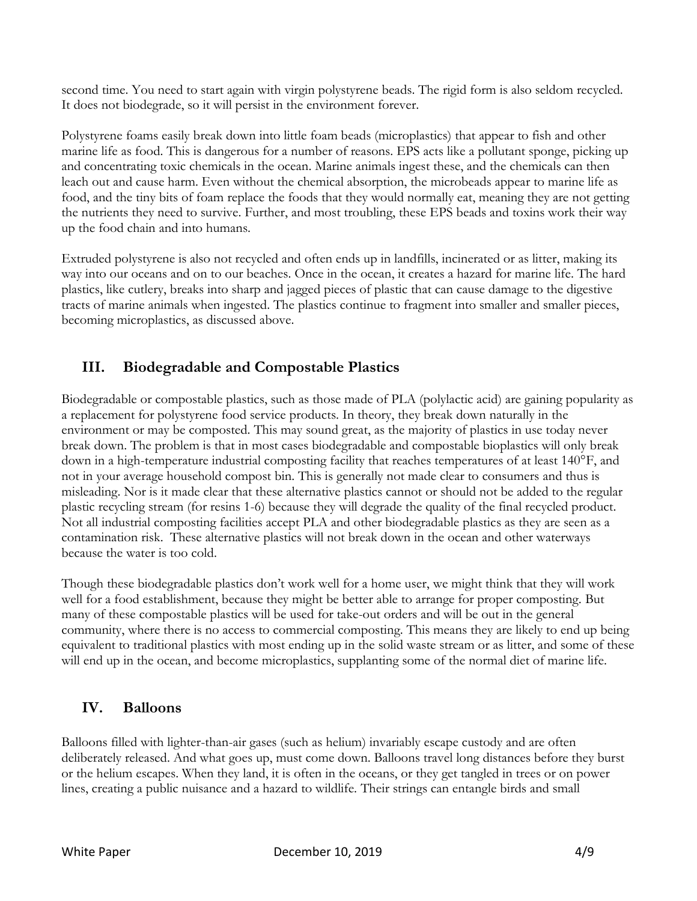second time. You need to start again with virgin polystyrene beads. The rigid form is also seldom recycled. It does not biodegrade, so it will persist in the environment forever.

Polystyrene foams easily break down into little foam beads (microplastics) that appear to fish and other marine life as food. This is dangerous for a number of reasons. EPS acts like a pollutant sponge, picking up and concentrating toxic chemicals in the ocean. Marine animals ingest these, and the chemicals can then leach out and cause harm. Even without the chemical absorption, the microbeads appear to marine life as food, and the tiny bits of foam replace the foods that they would normally eat, meaning they are not getting the nutrients they need to survive. Further, and most troubling, these EPS beads and toxins work their way up the food chain and into humans.

Extruded polystyrene is also not recycled and often ends up in landfills, incinerated or as litter, making its way into our oceans and on to our beaches. Once in the ocean, it creates a hazard for marine life. The hard plastics, like cutlery, breaks into sharp and jagged pieces of plastic that can cause damage to the digestive tracts of marine animals when ingested. The plastics continue to fragment into smaller and smaller pieces, becoming microplastics, as discussed above.

## **III. Biodegradable and Compostable Plastics**

Biodegradable or compostable plastics, such as those made of PLA (polylactic acid) are gaining popularity as a replacement for polystyrene food service products. In theory, they break down naturally in the environment or may be composted. This may sound great, as the majority of plastics in use today never break down. The problem is that in most cases biodegradable and compostable bioplastics will only break down in a high-temperature industrial composting facility that reaches temperatures of at least 140°F, and not in your average household compost bin. This is generally not made clear to consumers and thus is misleading. Nor is it made clear that these alternative plastics cannot or should not be added to the regular plastic recycling stream (for resins 1-6) because they will degrade the quality of the final recycled product. Not all industrial composting facilities accept PLA and other biodegradable plastics as they are seen as a contamination risk. These alternative plastics will not break down in the ocean and other waterways because the water is too cold.

Though these biodegradable plastics don't work well for a home user, we might think that they will work well for a food establishment, because they might be better able to arrange for proper composting. But many of these compostable plastics will be used for take-out orders and will be out in the general community, where there is no access to commercial composting. This means they are likely to end up being equivalent to traditional plastics with most ending up in the solid waste stream or as litter, and some of these will end up in the ocean, and become microplastics, supplanting some of the normal diet of marine life.

### **IV. Balloons**

Balloons filled with lighter-than-air gases (such as helium) invariably escape custody and are often deliberately released. And what goes up, must come down. Balloons travel long distances before they burst or the helium escapes. When they land, it is often in the oceans, or they get tangled in trees or on power lines, creating a public nuisance and a hazard to wildlife. Their strings can entangle birds and small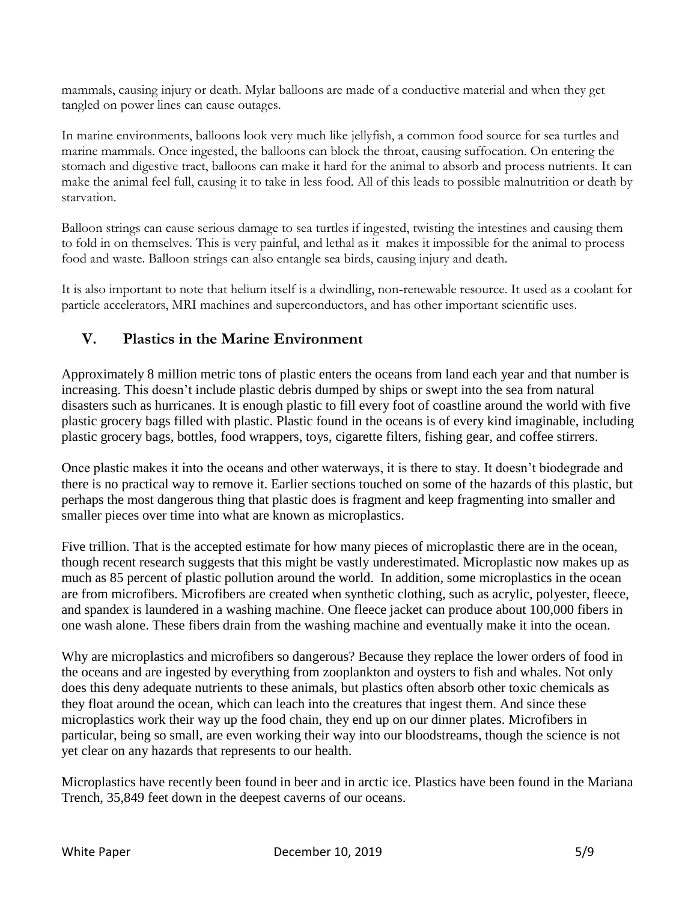mammals, causing injury or death. Mylar balloons are made of a conductive material and when they get tangled on power lines can cause outages.

In marine environments, balloons look very much like jellyfish, a common food source for sea turtles and marine mammals. Once ingested, the balloons can block the throat, causing suffocation. On entering the stomach and digestive tract, balloons can make it hard for the animal to absorb and process nutrients. It can make the animal feel full, causing it to take in less food. All of this leads to possible malnutrition or death by starvation.

Balloon strings can cause serious damage to sea turtles if ingested, twisting the intestines and causing them to fold in on themselves. This is very painful, and lethal as it makes it impossible for the animal to process food and waste. Balloon strings can also entangle sea birds, causing injury and death.

It is also important to note that helium itself is a dwindling, non-renewable resource. It used as a coolant for particle accelerators, MRI machines and superconductors, and has other important scientific uses.

## **V. Plastics in the Marine Environment**

Approximately 8 million metric tons of plastic enters the oceans from land each year and that number is increasing. This doesn't include plastic debris dumped by ships or swept into the sea from natural disasters such as hurricanes. It is enough plastic to fill every foot of coastline around the world with five plastic grocery bags filled with plastic. Plastic found in the oceans is of every kind imaginable, including plastic grocery bags, bottles, food wrappers, toys, cigarette filters, fishing gear, and coffee stirrers.

Once plastic makes it into the oceans and other waterways, it is there to stay. It doesn't biodegrade and there is no practical way to remove it. Earlier sections touched on some of the hazards of this plastic, but perhaps the most dangerous thing that plastic does is fragment and keep fragmenting into smaller and smaller pieces over time into what are known as microplastics.

Five trillion. That is the accepted estimate for how many pieces of microplastic there are in the ocean, though recent research suggests that this might be vastly underestimated. Microplastic now makes up as much as 85 percent of plastic pollution around the world. In addition, some microplastics in the ocean are from microfibers. Microfibers are created when synthetic clothing, such as acrylic, polyester, fleece, and spandex is laundered in a washing machine. One fleece jacket can produce about 100,000 fibers in one wash alone. These fibers drain from the washing machine and eventually make it into the ocean.

Why are microplastics and microfibers so dangerous? Because they replace the lower orders of food in the oceans and are ingested by everything from zooplankton and oysters to fish and whales. Not only does this deny adequate nutrients to these animals, but plastics often absorb other toxic chemicals as they float around the ocean, which can leach into the creatures that ingest them. And since these microplastics work their way up the food chain, they end up on our dinner plates. Microfibers in particular, being so small, are even working their way into our bloodstreams, though the science is not yet clear on any hazards that represents to our health.

Microplastics have recently been found in beer and in arctic ice. Plastics have been found in the Mariana Trench, 35,849 feet down in the deepest caverns of our oceans.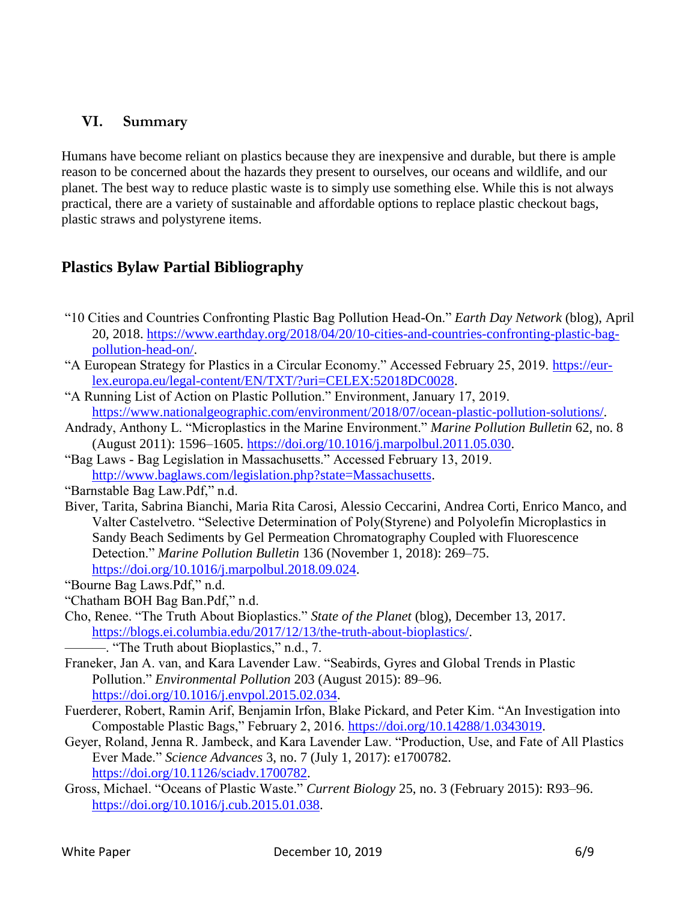### **VI. Summary**

Humans have become reliant on plastics because they are inexpensive and durable, but there is ample reason to be concerned about the hazards they present to ourselves, our oceans and wildlife, and our planet. The best way to reduce plastic waste is to simply use something else. While this is not always practical, there are a variety of sustainable and affordable options to replace plastic checkout bags, plastic straws and polystyrene items.

## **Plastics Bylaw Partial Bibliography**

- "10 Cities and Countries Confronting Plastic Bag Pollution Head-On." *Earth Day Network* (blog), April 20, 2018. [https://www.earthday.org/2018/04/20/10-cities-and-countries-confronting-plastic-bag](https://www.earthday.org/2018/04/20/10-cities-and-countries-confronting-plastic-bag-pollution-head-on/)[pollution-head-on/.](https://www.earthday.org/2018/04/20/10-cities-and-countries-confronting-plastic-bag-pollution-head-on/)
- "A European Strategy for Plastics in a Circular Economy." Accessed February 25, 2019. [https://eur](https://eur-lex.europa.eu/legal-content/EN/TXT/?uri=CELEX:52018DC0028)[lex.europa.eu/legal-content/EN/TXT/?uri=CELEX:52018DC0028.](https://eur-lex.europa.eu/legal-content/EN/TXT/?uri=CELEX:52018DC0028)
- "A Running List of Action on Plastic Pollution." Environment, January 17, 2019. [https://www.nationalgeographic.com/environment/2018/07/ocean-plastic-pollution-solutions/.](https://www.nationalgeographic.com/environment/2018/07/ocean-plastic-pollution-solutions/)
- Andrady, Anthony L. "Microplastics in the Marine Environment." *Marine Pollution Bulletin* 62, no. 8 (August 2011): 1596–1605. [https://doi.org/10.1016/j.marpolbul.2011.05.030.](https://doi.org/10.1016/j.marpolbul.2011.05.030)
- "Bag Laws Bag Legislation in Massachusetts." Accessed February 13, 2019. [http://www.baglaws.com/legislation.php?state=Massachusetts.](http://www.baglaws.com/legislation.php?state=Massachusetts)
- "Barnstable Bag Law.Pdf," n.d.
- Biver, Tarita, Sabrina Bianchi, Maria Rita Carosi, Alessio Ceccarini, Andrea Corti, Enrico Manco, and Valter Castelvetro. "Selective Determination of Poly(Styrene) and Polyolefin Microplastics in Sandy Beach Sediments by Gel Permeation Chromatography Coupled with Fluorescence Detection." *Marine Pollution Bulletin* 136 (November 1, 2018): 269–75. [https://doi.org/10.1016/j.marpolbul.2018.09.024.](https://doi.org/10.1016/j.marpolbul.2018.09.024)
- "Bourne Bag Laws.Pdf," n.d.
- "Chatham BOH Bag Ban.Pdf," n.d.
- Cho, Renee. "The Truth About Bioplastics." *State of the Planet* (blog), December 13, 2017. [https://blogs.ei.columbia.edu/2017/12/13/the-truth-about-bioplastics/.](https://blogs.ei.columbia.edu/2017/12/13/the-truth-about-bioplastics/)
	- ———. "The Truth about Bioplastics," n.d., 7.
- Franeker, Jan A. van, and Kara Lavender Law. "Seabirds, Gyres and Global Trends in Plastic Pollution." *Environmental Pollution* 203 (August 2015): 89–96. [https://doi.org/10.1016/j.envpol.2015.02.034.](https://doi.org/10.1016/j.envpol.2015.02.034)
- Fuerderer, Robert, Ramin Arif, Benjamin Irfon, Blake Pickard, and Peter Kim. "An Investigation into Compostable Plastic Bags," February 2, 2016. [https://doi.org/10.14288/1.0343019.](https://doi.org/10.14288/1.0343019)
- Geyer, Roland, Jenna R. Jambeck, and Kara Lavender Law. "Production, Use, and Fate of All Plastics Ever Made." *Science Advances* 3, no. 7 (July 1, 2017): e1700782. [https://doi.org/10.1126/sciadv.1700782.](https://doi.org/10.1126/sciadv.1700782)
- Gross, Michael. "Oceans of Plastic Waste." *Current Biology* 25, no. 3 (February 2015): R93–96. [https://doi.org/10.1016/j.cub.2015.01.038.](https://doi.org/10.1016/j.cub.2015.01.038)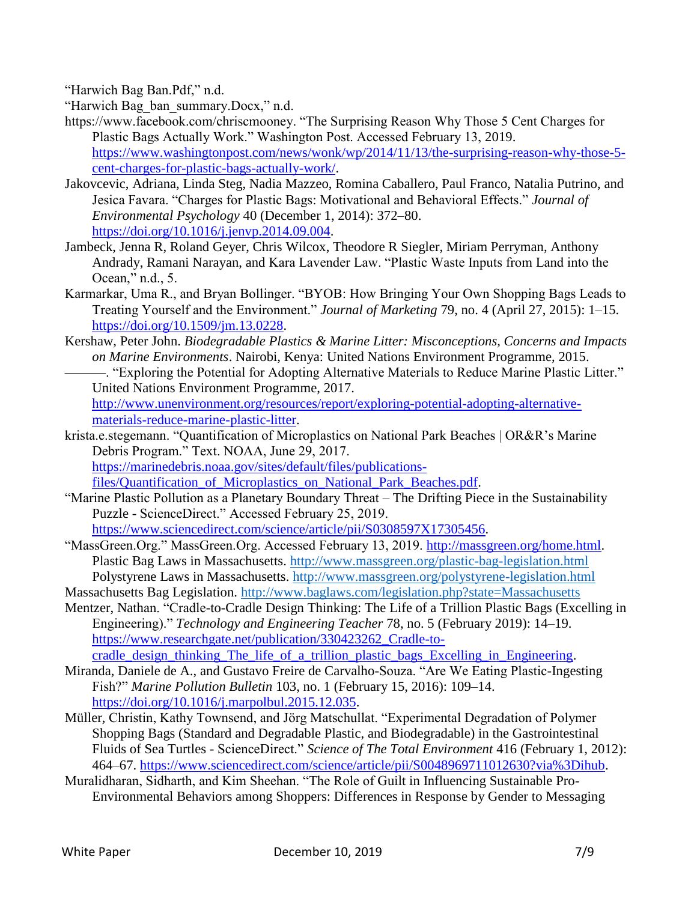"Harwich Bag Ban.Pdf," n.d.

"Harwich Bag\_ban\_summary.Docx," n.d.

- https://www.facebook.com/chriscmooney. "The Surprising Reason Why Those 5 Cent Charges for Plastic Bags Actually Work." Washington Post. Accessed February 13, 2019. [https://www.washingtonpost.com/news/wonk/wp/2014/11/13/the-surprising-reason-why-those-5](https://www.washingtonpost.com/news/wonk/wp/2014/11/13/the-surprising-reason-why-those-5-cent-charges-for-plastic-bags-actually-work/) [cent-charges-for-plastic-bags-actually-work/.](https://www.washingtonpost.com/news/wonk/wp/2014/11/13/the-surprising-reason-why-those-5-cent-charges-for-plastic-bags-actually-work/)
- Jakovcevic, Adriana, Linda Steg, Nadia Mazzeo, Romina Caballero, Paul Franco, Natalia Putrino, and Jesica Favara. "Charges for Plastic Bags: Motivational and Behavioral Effects." *Journal of Environmental Psychology* 40 (December 1, 2014): 372–80. [https://doi.org/10.1016/j.jenvp.2014.09.004.](https://doi.org/10.1016/j.jenvp.2014.09.004)
- Jambeck, Jenna R, Roland Geyer, Chris Wilcox, Theodore R Siegler, Miriam Perryman, Anthony Andrady, Ramani Narayan, and Kara Lavender Law. "Plastic Waste Inputs from Land into the Ocean," n.d., 5.
- Karmarkar, Uma R., and Bryan Bollinger. "BYOB: How Bringing Your Own Shopping Bags Leads to Treating Yourself and the Environment." *Journal of Marketing* 79, no. 4 (April 27, 2015): 1–15. [https://doi.org/10.1509/jm.13.0228.](https://doi.org/10.1509/jm.13.0228)
- Kershaw, Peter John. *Biodegradable Plastics & Marine Litter: Misconceptions, Concerns and Impacts on Marine Environments*. Nairobi, Kenya: United Nations Environment Programme, 2015.
- ———. "Exploring the Potential for Adopting Alternative Materials to Reduce Marine Plastic Litter." United Nations Environment Programme, 2017. [http://www.unenvironment.org/resources/report/exploring-potential-adopting-alternative-](http://www.unenvironment.org/resources/report/exploring-potential-adopting-alternative-materials-reduce-marine-plastic-litter)

[materials-reduce-marine-plastic-litter.](http://www.unenvironment.org/resources/report/exploring-potential-adopting-alternative-materials-reduce-marine-plastic-litter)

- krista.e.stegemann. "Quantification of Microplastics on National Park Beaches | OR&R's Marine Debris Program." Text. NOAA, June 29, 2017. [https://marinedebris.noaa.gov/sites/default/files/publications](https://marinedebris.noaa.gov/sites/default/files/publications-files/Quantification_of_Microplastics_on_National_Park_Beaches.pdf)files/Quantification of Microplastics on National Park Beaches.pdf.
- "Marine Plastic Pollution as a Planetary Boundary Threat The Drifting Piece in the Sustainability Puzzle - ScienceDirect." Accessed February 25, 2019. [https://www.sciencedirect.com/science/article/pii/S0308597X17305456.](https://www.sciencedirect.com/science/article/pii/S0308597X17305456)
- "MassGreen.Org." MassGreen.Org. Accessed February 13, 2019. [http://massgreen.org/home.html.](http://massgreen.org/home.html) Plastic Bag Laws in Massachusetts.<http://www.massgreen.org/plastic-bag-legislation.html> Polystyrene Laws in Massachusetts.<http://www.massgreen.org/polystyrene-legislation.html>
- Massachusetts Bag Legislation.<http://www.baglaws.com/legislation.php?state=Massachusetts>
- Mentzer, Nathan. "Cradle-to-Cradle Design Thinking: The Life of a Trillion Plastic Bags (Excelling in Engineering)." *Technology and Engineering Teacher* 78, no. 5 (February 2019): 14–19. [https://www.researchgate.net/publication/330423262\\_Cradle-to](https://www.researchgate.net/publication/330423262_Cradle-to-cradle_design_thinking_The_life_of_a_trillion_plastic_bags_Excelling_in_Engineering)[cradle\\_design\\_thinking\\_The\\_life\\_of\\_a\\_trillion\\_plastic\\_bags\\_Excelling\\_in\\_Engineering.](https://www.researchgate.net/publication/330423262_Cradle-to-cradle_design_thinking_The_life_of_a_trillion_plastic_bags_Excelling_in_Engineering)
- Miranda, Daniele de A., and Gustavo Freire de Carvalho-Souza. "Are We Eating Plastic-Ingesting Fish?" *Marine Pollution Bulletin* 103, no. 1 (February 15, 2016): 109–14. [https://doi.org/10.1016/j.marpolbul.2015.12.035.](https://doi.org/10.1016/j.marpolbul.2015.12.035)
- Müller, Christin, Kathy Townsend, and Jörg Matschullat. "Experimental Degradation of Polymer Shopping Bags (Standard and Degradable Plastic, and Biodegradable) in the Gastrointestinal Fluids of Sea Turtles - ScienceDirect." *Science of The Total Environment* 416 (February 1, 2012): 464–67. [https://www.sciencedirect.com/science/article/pii/S0048969711012630?via%3Dihub.](https://www.sciencedirect.com/science/article/pii/S0048969711012630?via%3Dihub)
- Muralidharan, Sidharth, and Kim Sheehan. "The Role of Guilt in Influencing Sustainable Pro-Environmental Behaviors among Shoppers: Differences in Response by Gender to Messaging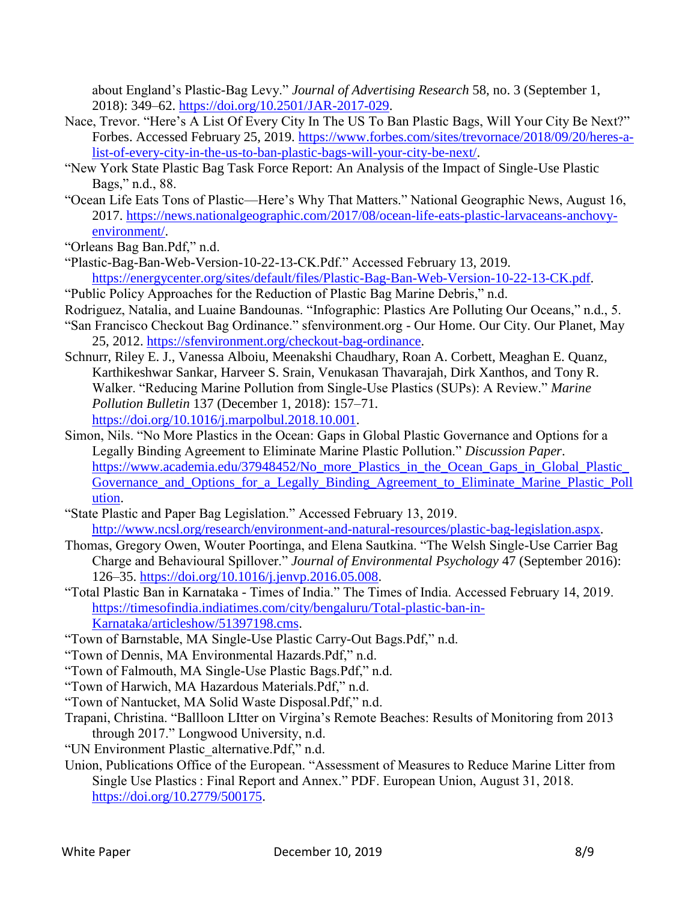about England's Plastic-Bag Levy." *Journal of Advertising Research* 58, no. 3 (September 1, 2018): 349–62. [https://doi.org/10.2501/JAR-2017-029.](https://doi.org/10.2501/JAR-2017-029)

- Nace, Trevor. "Here's A List Of Every City In The US To Ban Plastic Bags, Will Your City Be Next?" Forbes. Accessed February 25, 2019. [https://www.forbes.com/sites/trevornace/2018/09/20/heres-a](https://www.forbes.com/sites/trevornace/2018/09/20/heres-a-list-of-every-city-in-the-us-to-ban-plastic-bags-will-your-city-be-next/)[list-of-every-city-in-the-us-to-ban-plastic-bags-will-your-city-be-next/.](https://www.forbes.com/sites/trevornace/2018/09/20/heres-a-list-of-every-city-in-the-us-to-ban-plastic-bags-will-your-city-be-next/)
- "New York State Plastic Bag Task Force Report: An Analysis of the Impact of Single-Use Plastic Bags," n.d., 88.
- "Ocean Life Eats Tons of Plastic—Here's Why That Matters." National Geographic News, August 16, 2017. [https://news.nationalgeographic.com/2017/08/ocean-life-eats-plastic-larvaceans-anchovy](https://news.nationalgeographic.com/2017/08/ocean-life-eats-plastic-larvaceans-anchovy-environment/)[environment/.](https://news.nationalgeographic.com/2017/08/ocean-life-eats-plastic-larvaceans-anchovy-environment/)

"Orleans Bag Ban.Pdf," n.d.

- "Plastic-Bag-Ban-Web-Version-10-22-13-CK.Pdf." Accessed February 13, 2019. [https://energycenter.org/sites/default/files/Plastic-Bag-Ban-Web-Version-10-22-13-CK.pdf.](https://energycenter.org/sites/default/files/Plastic-Bag-Ban-Web-Version-10-22-13-CK.pdf)
- "Public Policy Approaches for the Reduction of Plastic Bag Marine Debris," n.d.
- Rodriguez, Natalia, and Luaine Bandounas. "Infographic: Plastics Are Polluting Our Oceans," n.d., 5.
- "San Francisco Checkout Bag Ordinance." sfenvironment.org Our Home. Our City. Our Planet, May 25, 2012. [https://sfenvironment.org/checkout-bag-ordinance.](https://sfenvironment.org/checkout-bag-ordinance)
- Schnurr, Riley E. J., Vanessa Alboiu, Meenakshi Chaudhary, Roan A. Corbett, Meaghan E. Quanz, Karthikeshwar Sankar, Harveer S. Srain, Venukasan Thavarajah, Dirk Xanthos, and Tony R. Walker. "Reducing Marine Pollution from Single-Use Plastics (SUPs): A Review." *Marine Pollution Bulletin* 137 (December 1, 2018): 157–71. [https://doi.org/10.1016/j.marpolbul.2018.10.001.](https://doi.org/10.1016/j.marpolbul.2018.10.001)
- Simon, Nils. "No More Plastics in the Ocean: Gaps in Global Plastic Governance and Options for a Legally Binding Agreement to Eliminate Marine Plastic Pollution." *Discussion Paper*. [https://www.academia.edu/37948452/No\\_more\\_Plastics\\_in\\_the\\_Ocean\\_Gaps\\_in\\_Global\\_Plastic\\_](https://www.academia.edu/37948452/No_more_Plastics_in_the_Ocean_Gaps_in_Global_Plastic_Governance_and_Options_for_a_Legally_Binding_Agreement_to_Eliminate_Marine_Plastic_Pollution) [Governance\\_and\\_Options\\_for\\_a\\_Legally\\_Binding\\_Agreement\\_to\\_Eliminate\\_Marine\\_Plastic\\_Poll](https://www.academia.edu/37948452/No_more_Plastics_in_the_Ocean_Gaps_in_Global_Plastic_Governance_and_Options_for_a_Legally_Binding_Agreement_to_Eliminate_Marine_Plastic_Pollution) [ution.](https://www.academia.edu/37948452/No_more_Plastics_in_the_Ocean_Gaps_in_Global_Plastic_Governance_and_Options_for_a_Legally_Binding_Agreement_to_Eliminate_Marine_Plastic_Pollution)
- "State Plastic and Paper Bag Legislation." Accessed February 13, 2019. [http://www.ncsl.org/research/environment-and-natural-resources/plastic-bag-legislation.aspx.](http://www.ncsl.org/research/environment-and-natural-resources/plastic-bag-legislation.aspx)
- Thomas, Gregory Owen, Wouter Poortinga, and Elena Sautkina. "The Welsh Single-Use Carrier Bag Charge and Behavioural Spillover." *Journal of Environmental Psychology* 47 (September 2016): 126–35. [https://doi.org/10.1016/j.jenvp.2016.05.008.](https://doi.org/10.1016/j.jenvp.2016.05.008)
- "Total Plastic Ban in Karnataka Times of India." The Times of India. Accessed February 14, 2019. [https://timesofindia.indiatimes.com/city/bengaluru/Total-plastic-ban-in-](https://timesofindia.indiatimes.com/city/bengaluru/Total-plastic-ban-in-Karnataka/articleshow/51397198.cms)[Karnataka/articleshow/51397198.cms.](https://timesofindia.indiatimes.com/city/bengaluru/Total-plastic-ban-in-Karnataka/articleshow/51397198.cms)
- "Town of Barnstable, MA Single-Use Plastic Carry-Out Bags.Pdf," n.d.
- "Town of Dennis, MA Environmental Hazards.Pdf," n.d.
- "Town of Falmouth, MA Single-Use Plastic Bags.Pdf," n.d.
- "Town of Harwich, MA Hazardous Materials.Pdf," n.d.
- "Town of Nantucket, MA Solid Waste Disposal.Pdf," n.d.
- Trapani, Christina. "Ballloon LItter on Virgina's Remote Beaches: Results of Monitoring from 2013 through 2017." Longwood University, n.d.
- "UN Environment Plastic\_alternative.Pdf," n.d.
- Union, Publications Office of the European. "Assessment of Measures to Reduce Marine Litter from Single Use Plastics : Final Report and Annex." PDF. European Union, August 31, 2018. [https://doi.org/10.2779/500175.](https://doi.org/10.2779/500175)